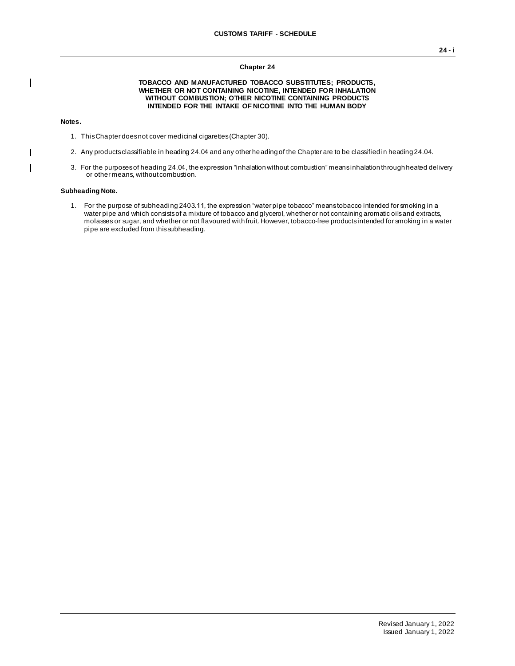#### **Chapter 24**

#### **TOBACCO AND MANUFACTURED TOBACCO SUBSTITUTES; PRODUCTS, WHETHER OR NOT CONTAINING NICOTINE, INTENDED FOR INHALATION WITHOUT COMBUSTION; OTHER NICOTINE CONTAINING PRODUCTS INTENDED FOR THE INTAKE OF NICOTINE INTO THE HUMAN BODY**

## **Notes.**

 $\mathbf{I}$ 

 $\overline{1}$  $\mathbf{I}$  1. This Chapter does not cover medicinal cigarettes (Chapter 30).

- 2. Any products classifiable in heading 24.04 and any other heading of the Chapter are to be classified in heading 24.04.
- 3. For the purposes of heading 24.04, the expression "inhalation without combustion" means inhalation through heated delivery or other means, without combustion.

## **Subheading Note.**

1. For the purpose of subheading 2403.11, the expression "water pipe tobacco" means tobacco intended for smoking in a water pipe and which consists of a mixture of tobacco and glycerol, whether or not containing aromatic oils and extracts, molasses or sugar, and whether or not flavoured with fruit. However, tobacco-free products intended for smoking in a water pipe are excluded from this subheading.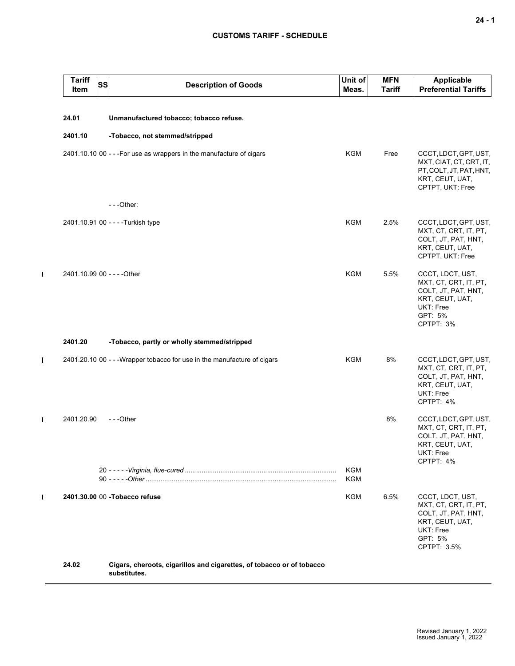# **CUSTOMS TARIFF - SCHEDULE**

| <b>Tariff</b><br><b>SS</b><br>Item | <b>Description of Goods</b>                                                           | Unit of<br>Meas. | <b>MFN</b><br><b>Tariff</b> | <b>Applicable</b><br><b>Preferential Tariffs</b>                                                                           |
|------------------------------------|---------------------------------------------------------------------------------------|------------------|-----------------------------|----------------------------------------------------------------------------------------------------------------------------|
| 24.01                              | Unmanufactured tobacco; tobacco refuse.                                               |                  |                             |                                                                                                                            |
| 2401.10                            | -Tobacco, not stemmed/stripped                                                        |                  |                             |                                                                                                                            |
|                                    | 2401.10.10 00 - - - For use as wrappers in the manufacture of cigars                  | KGM              | Free                        | CCCT, LDCT, GPT, UST,<br>MXT, CIAT, CT, CRT, IT,<br>PT, COLT, JT, PAT, HNT,<br>KRT, CEUT, UAT,<br>CPTPT, UKT: Free         |
|                                    | $-$ - -Other:                                                                         |                  |                             |                                                                                                                            |
|                                    | 2401.10.91 00 - - - - Turkish type                                                    | <b>KGM</b>       | 2.5%                        | CCCT, LDCT, GPT, UST,<br>MXT, CT, CRT, IT, PT,<br>COLT, JT, PAT, HNT,<br>KRT, CEUT, UAT,<br>CPTPT, UKT: Free               |
| 2401.10.99 00 - - - - Other        |                                                                                       | <b>KGM</b>       | 5.5%                        | CCCT, LDCT, UST,<br>MXT, CT, CRT, IT, PT,<br>COLT, JT, PAT, HNT,<br>KRT, CEUT, UAT,<br>UKT: Free<br>GPT: 5%<br>CPTPT: 3%   |
| 2401.20                            | -Tobacco, partly or wholly stemmed/stripped                                           |                  |                             |                                                                                                                            |
|                                    | 2401.20.10 00 - - - Wrapper tobacco for use in the manufacture of cigars              | KGM              | 8%                          | CCCT, LDCT, GPT, UST,<br>MXT, CT, CRT, IT, PT,<br>COLT, JT, PAT, HNT,<br>KRT, CEUT, UAT,<br>UKT: Free<br>CPTPT: 4%         |
| 2401.20.90                         | ---Other                                                                              |                  | 8%                          | CCCT, LDCT, GPT, UST,<br>MXT, CT, CRT, IT, PT,<br>COLT, JT, PAT, HNT,<br>KRT, CEUT, UAT,<br>UKT: Free<br>CPTPT: 4%         |
|                                    |                                                                                       | KGM<br>KGM       |                             |                                                                                                                            |
|                                    | 2401.30.00 00 -Tobacco refuse                                                         | KGM              | 6.5%                        | CCCT, LDCT, UST,<br>MXT, CT, CRT, IT, PT,<br>COLT, JT, PAT, HNT,<br>KRT, CEUT, UAT,<br>UKT: Free<br>GPT: 5%<br>CPTPT: 3.5% |
| 24.02                              | Cigars, cheroots, cigarillos and cigarettes, of tobacco or of tobacco<br>substitutes. |                  |                             |                                                                                                                            |

 $\mathbf{I}$ 

 $\mathbf{I}$ 

 $\blacksquare$ 

 $\mathbf{I}$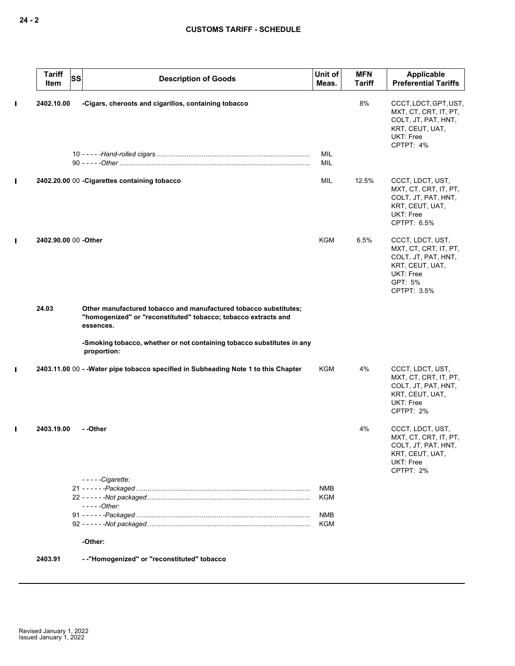|                | <b>Tariff</b><br>Item | <b>SS</b> | <b>Description of Goods</b>                                                                                                                     | Unit of<br>Meas.  | <b>MFN</b><br><b>Tariff</b> | Applicable<br><b>Preferential Tariffs</b>                                                                                  |
|----------------|-----------------------|-----------|-------------------------------------------------------------------------------------------------------------------------------------------------|-------------------|-----------------------------|----------------------------------------------------------------------------------------------------------------------------|
| L              | 2402.10.00            |           | -Cigars, cheroots and cigarillos, containing tobacco                                                                                            | MIL               | 8%                          | CCCT, LDCT, GPT, UST,<br>MXT, CT, CRT, IT, PT,<br>COLT, JT, PAT, HNT,<br>KRT, CEUT, UAT,<br>UKT: Free<br>CPTPT: 4%         |
|                |                       |           |                                                                                                                                                 | MIL               |                             |                                                                                                                            |
| I.             |                       |           | 2402.20.00 00 - Cigarettes containing tobacco                                                                                                   | MIL               | 12.5%                       | CCCT, LDCT, UST,<br>MXT, CT, CRT, IT, PT,<br>COLT, JT, PAT, HNT,<br>KRT, CEUT, UAT,<br>UKT: Free<br>CPTPT: 6.5%            |
| $\blacksquare$ | 2402.90.00 00 -Other  |           |                                                                                                                                                 | <b>KGM</b>        | 6.5%                        | CCCT, LDCT, UST,<br>MXT, CT, CRT, IT, PT,<br>COLT, JT, PAT, HNT,<br>KRT, CEUT, UAT,<br>UKT: Free<br>GPT: 5%<br>CPTPT: 3.5% |
|                | 24.03                 |           | Other manufactured tobacco and manufactured tobacco substitutes;<br>"homogenized" or "reconstituted" tobacco; tobacco extracts and<br>essences. |                   |                             |                                                                                                                            |
|                |                       |           | -Smoking tobacco, whether or not containing tobacco substitutes in any<br>proportion:                                                           |                   |                             |                                                                                                                            |
| П              |                       |           | 2403.11.00 00 - - Water pipe tobacco specified in Subheading Note 1 to this Chapter                                                             | KGM               | 4%                          | CCCT, LDCT, UST,<br>MXT, CT, CRT, IT, PT,<br>COLT, JT, PAT, HNT,<br>KRT, CEUT, UAT,<br><b>UKT: Free</b><br>CPTPT: 2%       |
|                | 2403.19.00            |           | - -Other                                                                                                                                        |                   | 4%                          | CCCT, LDCT, UST,<br>MXT, CT, CRT, IT, PT,<br>COLT, JT, PAT, HNT,<br>KRT, CEUT, UAT,<br>UKT: Free<br>CPTPT: 2%              |
|                |                       |           | $---Cigarette:$                                                                                                                                 |                   |                             |                                                                                                                            |
|                |                       |           |                                                                                                                                                 | <b>NMB</b><br>KGM |                             |                                                                                                                            |
|                |                       |           | - - - - -Other:                                                                                                                                 | NMB               |                             |                                                                                                                            |
|                |                       |           |                                                                                                                                                 | KGM               |                             |                                                                                                                            |
|                |                       |           | -Other:                                                                                                                                         |                   |                             |                                                                                                                            |
|                | 2403.91               |           | -- "Homogenized" or "reconstituted" tobacco                                                                                                     |                   |                             |                                                                                                                            |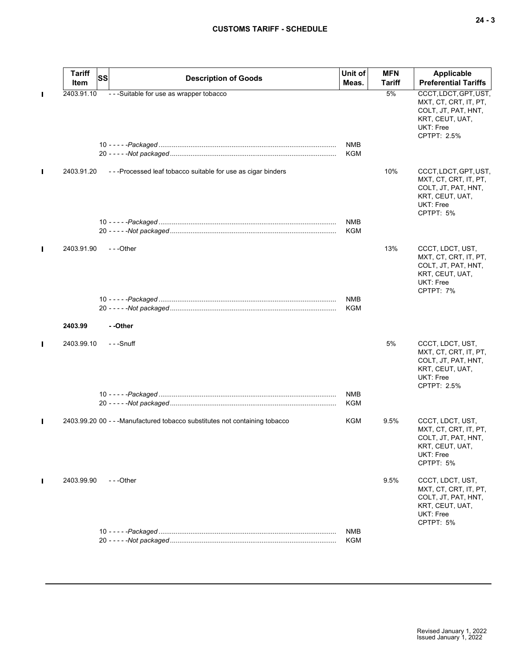|   | <b>Tariff</b><br>Item | <b>SS</b> | <b>Description of Goods</b>                                                 | Unit of<br>Meas.  | <b>MFN</b><br>Tariff | Applicable<br><b>Preferential Tariffs</b>                                                                            |
|---|-----------------------|-----------|-----------------------------------------------------------------------------|-------------------|----------------------|----------------------------------------------------------------------------------------------------------------------|
| П | 2403.91.10            |           | - - - Suitable for use as wrapper tobacco                                   |                   | 5%                   | CCCT, LDCT, GPT, UST,<br>MXT, CT, CRT, IT, PT,<br>COLT, JT, PAT, HNT,<br>KRT, CEUT, UAT,<br>UKT: Free<br>CPTPT: 2.5% |
|   |                       |           |                                                                             | <b>NMB</b><br>KGM |                      |                                                                                                                      |
| П | 2403.91.20            |           | ---Processed leaf tobacco suitable for use as cigar binders                 |                   | 10%                  | CCCT, LDCT, GPT, UST,<br>MXT, CT, CRT, IT, PT,<br>COLT, JT, PAT, HNT,<br>KRT, CEUT, UAT,<br>UKT: Free<br>CPTPT: 5%   |
|   |                       |           |                                                                             | NMB<br>KGM        |                      |                                                                                                                      |
| П | 2403.91.90            |           | ---Other                                                                    |                   | 13%                  | CCCT, LDCT, UST,<br>MXT, CT, CRT, IT, PT,<br>COLT, JT, PAT, HNT,<br>KRT, CEUT, UAT,<br>UKT: Free<br>CPTPT: 7%        |
|   |                       |           |                                                                             | NMB<br>KGM        |                      |                                                                                                                      |
|   | 2403.99               |           | --Other                                                                     |                   |                      |                                                                                                                      |
| П | 2403.99.10            |           | - - -Snuff                                                                  |                   | 5%                   | CCCT, LDCT, UST,<br>MXT, CT, CRT, IT, PT,<br>COLT, JT, PAT, HNT,<br>KRT, CEUT, UAT,<br>UKT: Free<br>CPTPT: 2.5%      |
|   |                       |           |                                                                             | NMB<br>KGM        |                      |                                                                                                                      |
| П |                       |           | 2403.99.20 00 - - - Manufactured tobacco substitutes not containing tobacco | KGM               | 9.5%                 | CCCT, LDCT, UST,<br>MXT, CT, CRT, IT, PT,<br>COLT, JT, PAT, HNT,<br>KRT, CEUT, UAT,<br>UKT: Free<br>CPTPT: 5%        |
| П | 2403.99.90            |           | ---Other                                                                    |                   | 9.5%                 | CCCT, LDCT, UST,<br>MXT, CT, CRT, IT, PT,<br>COLT, JT, PAT, HNT,<br>KRT, CEUT, UAT,<br>UKT: Free<br>CPTPT: 5%        |
|   |                       |           |                                                                             | <b>NMB</b>        |                      |                                                                                                                      |
|   |                       |           |                                                                             | KGM               |                      |                                                                                                                      |